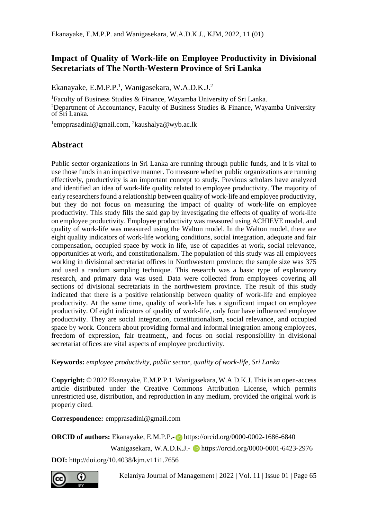# **Impact of Quality of Work-life on Employee Productivity in Divisional Secretariats of The North-Western Province of Sri Lanka**

Ekanayake, E.M.P.P.<sup>1</sup>, Wanigasekara, W.A.D.K.J.<sup>2</sup>

<sup>1</sup>Faculty of Business Studies & Finance, Wayamba University of Sri Lanka. <sup>2</sup>Department of Accountancy, Faculty of Business Studies & Finance, Wayamba University of Sri Lanka.

<sup>1</sup>empprasadini@gmail.com, <sup>2</sup>kaushalya@wyb.ac.lk

# **Abstract**

Public sector organizations in Sri Lanka are running through public funds, and it is vital to use those funds in an impactive manner. To measure whether public organizations are running effectively, productivity is an important concept to study. Previous scholars have analyzed and identified an idea of work-life quality related to employee productivity. The majority of early researchers found a relationship between quality of work-life and employee productivity, but they do not focus on measuring the impact of quality of work-life on employee productivity. This study fills the said gap by investigating the effects of quality of work-life on employee productivity. Employee productivity was measured using ACHIEVE model, and quality of work-life was measured using the Walton model. In the Walton model, there are eight quality indicators of work-life working conditions, social integration, adequate and fair compensation, occupied space by work in life, use of capacities at work, social relevance, opportunities at work, and constitutionalism. The population of this study was all employees working in divisional secretariat offices in Northwestern province; the sample size was 375 and used a random sampling technique. This research was a basic type of explanatory research, and primary data was used. Data were collected from employees covering all sections of divisional secretariats in the northwestern province. The result of this study indicated that there is a positive relationship between quality of work-life and employee productivity. At the same time, quality of work-life has a significant impact on employee productivity. Of eight indicators of quality of work-life, only four have influenced employee productivity. They are social integration, constitutionalism, social relevance, and occupied space by work. Concern about providing formal and informal integration among employees, freedom of expression, fair treatment,, and focus on social responsibility in divisional secretariat offices are vital aspects of employee productivity.

**Keywords:** *employee productivity, public sector, quality of work-life, Sri Lanka* 

**Copyright:** © 2022 Ekanayake, E.M.P.P.1 Wanigasekara, W.A.D.K.J. This is an open-access article distributed under the Creative Commons Attribution License, which permits unrestricted use, distribution, and reproduction in any medium, provided the original work is properly cited.

**Correspondence:** empprasadini@gmail.com

**ORCID of authors:** Ekanayake, E.M.P.P.- **https://orcid.org/0000-0002-1686-6840** 

Wanigasekara, W.A.D.K.J.- b https://orcid.org/0000-0001-6423-2976

**DOI:** http://doi.org/10.4038/kjm.v11i1.7656

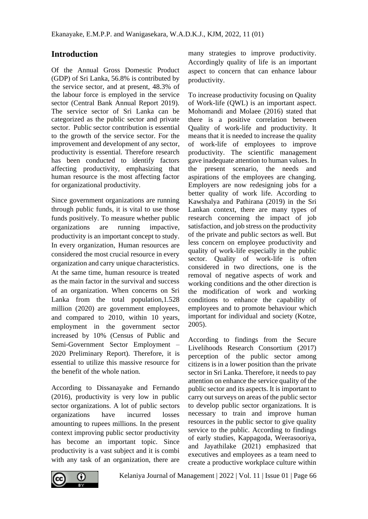# **Introduction**

Of the Annual Gross Domestic Product (GDP) of Sri Lanka, 56.8% is contributed by the service sector, and at present, 48.3% of the labour force is employed in the service sector (Central Bank Annual Report 2019). The service sector of Sri Lanka can be categorized as the public sector and private sector. Public sector contribution is essential to the growth of the service sector. For the improvement and development of any sector, productivity is essential. Therefore research has been conducted to identify factors affecting productivity, emphasizing that human resource is the most affecting factor for organizational productivity.

Since government organizations are running through public funds, it is vital to use those funds positively. To measure whether public organizations are running impactive, productivity is an important concept to study. In every organization, Human resources are considered the most crucial resource in every organization and carry unique characteristics. At the same time, human resource is treated as the main factor in the survival and success of an organization. When concerns on Sri Lanka from the total population,1.528 million (2020) are government employees, and compared to 2010, within 10 years, employment in the government sector increased by 10% (Census of Public and Semi-Government Sector Employment – 2020 Preliminary Report). Therefore, it is essential to utilize this massive resource for the benefit of the whole nation.

According to Dissanayake and Fernando (2016), productivity is very low in public sector organizations. A lot of public sectors organizations have incurred losses amounting to rupees millions. In the present context improving public sector productivity has become an important topic. Since productivity is a vast subject and it is combi with any task of an organization, there are

many strategies to improve productivity. Accordingly quality of life is an important aspect to concern that can enhance labour productivity.

To increase productivity focusing on Quality of Work-life (QWL) is an important aspect. Mohomandi and Molaee (2016) stated that there is a positive correlation between Quality of work-life and productivity. It means that it is needed to increase the quality of work-life of employees to improve productivity. The scientific management gave inadequate attention to human values. In the present scenario, the needs and aspirations of the employees are changing. Employers are now redesigning jobs for a better quality of work life. According to Kawshalya and Pathirana (2019) in the Sri Lankan context, there are many types of research concerning the impact of job satisfaction, and job stress on the productivity of the private and public sectors as well. But less concern on employee productivity and quality of work-life especially in the public sector. Quality of work-life is often considered in two directions, one is the removal of negative aspects of work and working conditions and the other direction is the modification of work and working conditions to enhance the capability of employees and to promote behaviour which important for individual and society (Kotze, 2005).

According to findings from the Secure Livelihoods Research Consortium (2017) perception of the public sector among citizens is in a lower position than the private sector in Sri Lanka. Therefore, it needs to pay attention on enhance the service quality of the public sector and its aspects. It is important to carry out surveys on areas of the public sector to develop public sector organizations. It is necessary to train and improve human resources in the public sector to give quality service to the public. According to findings of early studies, Kappagoda, Weerasooriya, and Jayathilake (2021) emphasized that executives and employees as a team need to create a productive workplace culture within

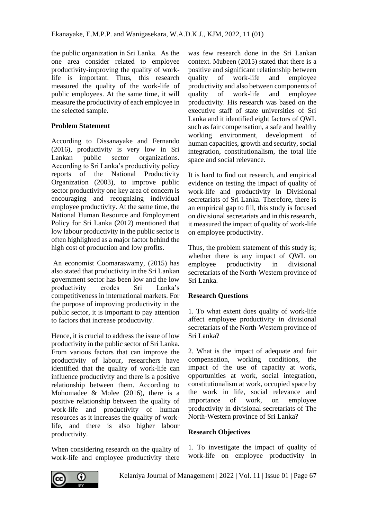the public organization in Sri Lanka. As the one area consider related to employee productivity-improving the quality of worklife is important. Thus, this research measured the quality of the work-life of public employees. At the same time, it will measure the productivity of each employee in the selected sample.

### **Problem Statement**

According to Dissanayake and Fernando (2016), productivity is very low in Sri Lankan public sector organizations. According to Sri Lanka's productivity policy<br>reports of the National Productivity National Productivity Organization (2003), to improve public sector productivity one key area of concern is encouraging and recognizing individual employee productivity. At the same time, the National Human Resource and Employment Policy for Sri Lanka (2012) mentioned that low labour productivity in the public sector is often highlighted as a major factor behind the high cost of production and low profits.

An economist Coomaraswamy, (2015) has also stated that productivity in the Sri Lankan government sector has been low and the low productivity erodes Sri Lanka's competitiveness in international markets. For the purpose of improving productivity in the public sector, it is important to pay attention to factors that increase productivity.

Hence, it is crucial to address the issue of low productivity in the public sector of Sri Lanka. From various factors that can improve the productivity of labour, researchers have identified that the quality of work-life can influence productivity and there is a positive relationship between them. According to Mohomadee & Molee (2016), there is a positive relationship between the quality of work-life and productivity of human resources as it increases the quality of worklife, and there is also higher labour productivity.

When considering research on the quality of work-life and employee productivity there

was few research done in the Sri Lankan context. Mubeen (2015) stated that there is a positive and significant relationship between quality of work-life and employee productivity and also between components of quality of work-life and employee productivity. His research was based on the executive staff of state universities of Sri Lanka and it identified eight factors of QWL such as fair compensation, a safe and healthy working environment, development of human capacities, growth and security, social integration, constitutionalism, the total life space and social relevance.

It is hard to find out research, and empirical evidence on testing the impact of quality of work-life and productivity in Divisional secretariats of Sri Lanka. Therefore, there is an empirical gap to fill, this study is focused on divisional secretariats and in this research, it measured the impact of quality of work-life on employee productivity.

Thus, the problem statement of this study is; whether there is any impact of QWL on employee productivity in divisional secretariats of the North-Western province of Sri Lanka.

## **Research Questions**

1. To what extent does quality of work-life affect employee productivity in divisional secretariats of the North-Western province of Sri Lanka?

2. What is the impact of adequate and fair compensation, working conditions, the impact of the use of capacity at work, opportunities at work, social integration, constitutionalism at work, occupied space by the work in life, social relevance and importance of work, on employee productivity in divisional secretariats of The North-Western province of Sri Lanka?

## **Research Objectives**

1. To investigate the impact of quality of work-life on employee productivity in

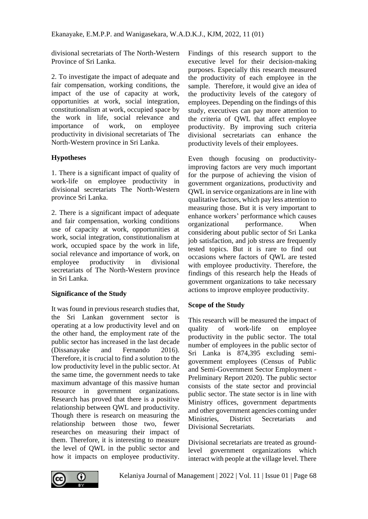divisional secretariats of The North-Western Province of Sri Lanka.

2. To investigate the impact of adequate and fair compensation, working conditions, the impact of the use of capacity at work, opportunities at work, social integration, constitutionalism at work, occupied space by the work in life, social relevance and importance of work, on employee productivity in divisional secretariats of The North-Western province in Sri Lanka.

#### **Hypotheses**

1. There is a significant impact of quality of work-life on employee productivity in divisional secretariats The North-Western province Sri Lanka.

2. There is a significant impact of adequate and fair compensation, working conditions use of capacity at work, opportunities at work, social integration, constitutionalism at work, occupied space by the work in life, social relevance and importance of work, on employee productivity in divisional secretariats of The North-Western province in Sri Lanka.

## **Significance of the Study**

It was found in previous research studies that, the Sri Lankan government sector is operating at a low productivity level and on the other hand, the employment rate of the public sector has increased in the last decade (Dissanayake and Fernando 2016). Therefore, it is crucial to find a solution to the low productivity level in the public sector. At the same time, the government needs to take maximum advantage of this massive human resource in government organizations. Research has proved that there is a positive relationship between QWL and productivity. Though there is research on measuring the relationship between those two, fewer researches on measuring their impact of them. Therefore, it is interesting to measure the level of QWL in the public sector and how it impacts on employee productivity.

Findings of this research support to the executive level for their decision-making purposes. Especially this research measured the productivity of each employee in the sample. Therefore, it would give an idea of the productivity levels of the category of employees. Depending on the findings of this study, executives can pay more attention to the criteria of QWL that affect employee productivity. By improving such criteria divisional secretariats can enhance the productivity levels of their employees.

Even though focusing on productivityimproving factors are very much important for the purpose of achieving the vision of government organizations, productivity and QWL in service organizations are in line with qualitative factors, which pay less attention to measuring those. But it is very important to enhance workers' performance which causes organizational performance. When considering about public sector of Sri Lanka job satisfaction, and job stress are frequently tested topics. But it is rare to find out occasions where factors of QWL are tested with employee productivity. Therefore, the findings of this research help the Heads of government organizations to take necessary actions to improve employee productivity.

## **Scope of the Study**

This research will be measured the impact of quality of work-life on employee productivity in the public sector. The total number of employees in the public sector of Sri Lanka is 874,395 excluding semigovernment employees (Census of Public and Semi-Government Sector Employment - Preliminary Report 2020). The public sector consists of the state sector and provincial public sector. The state sector is in line with Ministry offices, government departments and other government agencies coming under Ministries, District Secretariats and Divisional Secretariats.

Divisional secretariats are treated as groundlevel government organizations which interact with people at the village level. There

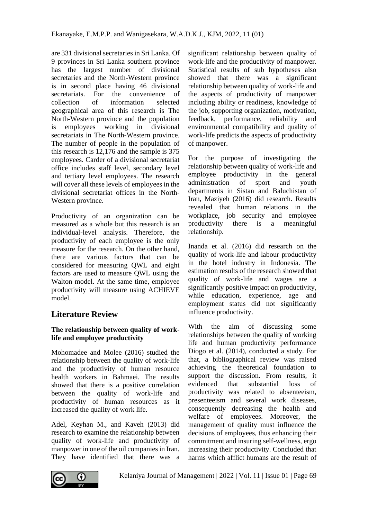are 331 divisional secretaries in Sri Lanka. Of 9 provinces in Sri Lanka southern province has the largest number of divisional secretaries and the North-Western province is in second place having 46 divisional secretariats. For the convenience of collection of information selected geographical area of this research is The North-Western province and the population is employees working in divisional secretariats in The North-Western province. The number of people in the population of this research is 12,176 and the sample is 375 employees. Carder of a divisional secretariat office includes staff level, secondary level and tertiary level employees. The research will cover all these levels of employees in the divisional secretariat offices in the North-Western province.

Productivity of an organization can be measured as a whole but this research is an individual-level analysis. Therefore, the productivity of each employee is the only measure for the research. On the other hand, there are various factors that can be considered for measuring QWL and eight factors are used to measure QWL using the Walton model. At the same time, employee productivity will measure using ACHIEVE model.

# **Literature Review**

## **The relationship between quality of worklife and employee productivity**

Mohomadee and Molee (2016) studied the relationship between the quality of work-life and the productivity of human resource health workers in Bahmaei. The results showed that there is a positive correlation between the quality of work-life and productivity of human resources as it increased the quality of work life.

Adel, Keyhan M., and Kaveh (2013) did research to examine the relationship between quality of work-life and productivity of manpower in one of the oil companies in Iran. They have identified that there was a

significant relationship between quality of work-life and the productivity of manpower. Statistical results of sub hypotheses also showed that there was a significant relationship between quality of work-life and the aspects of productivity of manpower including ability or readiness, knowledge of the job, supporting organization, motivation, feedback, performance, reliability and environmental compatibility and quality of work-life predicts the aspects of productivity of manpower.

For the purpose of investigating the relationship between quality of work-life and employee productivity in the general administration of sport and youth departments in Sistan and Baluchistan of Iran, Maziyeh (2016) did research. Results revealed that human relations in the workplace, job security and employee productivity there is a meaningful relationship.

Inanda et al. (2016) did research on the quality of work-life and labour productivity in the hotel industry in Indonesia. The estimation results of the research showed that quality of work-life and wages are a significantly positive impact on productivity, while education, experience, age and employment status did not significantly influence productivity.

With the aim of discussing some relationships between the quality of working life and human productivity performance Diogo et al. (2014), conducted a study. For that, a bibliographical review was raised achieving the theoretical foundation to support the discussion. From results, it evidenced that substantial loss of productivity was related to absenteeism, presenteeism and several work diseases, consequently decreasing the health and welfare of employees. Moreover, the management of quality must influence the decisions of employees, thus enhancing their commitment and insuring self-wellness, ergo increasing their productivity. Concluded that harms which afflict humans are the result of

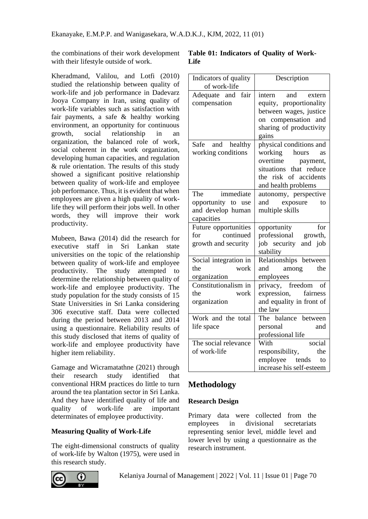the combinations of their work development with their lifestyle outside of work.

Kheradmand, Valilou, and Lotfi (2010) studied the relationship between quality of work-life and job performance in Dadevarz Jooya Company in Iran, using quality of work-life variables such as satisfaction with fair payments, a safe & healthy working environment, an opportunity for continuous growth, social relationship in an organization, the balanced role of work, social coherent in the work organization, developing human capacities, and regulation & rule orientation. The results of this study showed a significant positive relationship between quality of work-life and employee job performance. Thus, it is evident that when employees are given a high quality of worklife they will perform their jobs well. In other words, they will improve their work productivity.

Mubeen, Bawa (2014) did the research for executive staff in Sri Lankan state universities on the topic of the relationship between quality of work-life and employee productivity. The study attempted to determine the relationship between quality of work-life and employee productivity. The study population for the study consists of 15 State Universities in Sri Lanka considering 306 executive staff. Data were collected during the period between 2013 and 2014 using a questionnaire. Reliability results of this study disclosed that items of quality of work-life and employee productivity have higher item reliability.

Gamage and Wicramatathne (2021) through their research study identified that conventional HRM practices do little to turn around the tea plantation sector in Sri Lanka. And they have identified quality of life and quality of work-life are important determinates of employee productivity.

## **Measuring Quality of Work-Life**

The eight-dimensional constructs of quality of work-life by Walton (1975), were used in this research study.



| Indicators of quality<br>of work-life                                        | Description                                                                                                                                            |
|------------------------------------------------------------------------------|--------------------------------------------------------------------------------------------------------------------------------------------------------|
| Adequate and fair<br>compensation                                            | intern<br>and<br>extern<br>equity, proportionality<br>between wages, justice<br>on compensation and<br>sharing of productivity<br>gains                |
| Safe and healthy<br>working conditions                                       | physical conditions and<br>working<br>hours<br>as<br>overtime<br>payment,<br>that reduce<br>situations<br>the risk of accidents<br>and health problems |
| The<br>immediate<br>opportunity to<br>use<br>and develop human<br>capacities | autonomy, perspective<br>and<br>exposure<br>to<br>multiple skills                                                                                      |
| Future opportunities<br>continued<br>for<br>growth and security              | for<br>opportunity<br>professional<br>growth,<br>job security and job<br>stability                                                                     |
| Social integration in<br>the<br>work<br>organization                         | Relationships between<br>among<br>and<br>the<br>employees                                                                                              |
| Constitutionalism in<br>work<br>the<br>organization                          | privacy, freedom<br>of<br>expression,<br>fairness<br>and equality in front of<br>the law                                                               |
| Work and the total<br>life space                                             | The balance between<br>personal<br>and<br>professional life                                                                                            |
| The social relevance<br>of work-life                                         | social<br>With<br>responsibility,<br>the<br>employee tends<br>to<br>increase his self-esteem                                                           |

# **Methodology**

#### **Research Design**

Primary data were collected from the employees in divisional secretariats representing senior level, middle level and lower level by using a questionnaire as the research instrument.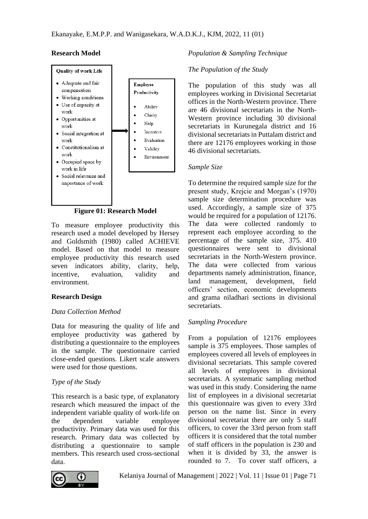#### **Research Model**



**Figure 01: Research Model**

To measure employee productivity this research used a model developed by Hersey and Goldsmith (1980) called ACHIEVE model. Based on that model to measure employee productivity this research used seven indicators ability, clarity, help, incentive, evaluation, validity and environment.

## **Research Design**

#### *Data Collection Method*

Data for measuring the quality of life and employee productivity was gathered by distributing a questionnaire to the employees in the sample. The questionnaire carried close-ended questions. Likert scale answers were used for those questions.

## *Type of the Study*

This research is a basic type, of explanatory research which measured the impact of the independent variable quality of work-life on the dependent variable employee productivity. Primary data was used for this research. Primary data was collected by distributing a questionnaire to sample members. This research used cross-sectional data.



#### *The Population of the Study*

The population of this study was all employees working in Divisional Secretariat offices in the North-Western province. There are 46 divisional secretariats in the North-Western province including 30 divisional secretariats in Kurunegala district and 16 divisional secretariats in Puttalam district and there are 12176 employees working in those 46 divisional secretariats.

#### *Sample Size*

To determine the required sample size for the present study, Krejcie and Morgan's (1970) sample size determination procedure was used. Accordingly, a sample size of 375 would be required for a population of 12176. The data were collected randomly to represent each employee according to the percentage of the sample size, 375. 410 questionnaires were sent to divisional secretariats in the North-Western province. The data were collected from various departments namely administration, finance, land management, development, field officers' section, economic developments and grama niladhari sections in divisional secretariats.

## *Sampling Procedure*

From a population of 12176 employees sample is 375 employees. Those samples of employees covered all levels of employees in divisional secretariats. This sample covered all levels of employees in divisional secretariats. A systematic sampling method was used in this study. Considering the name list of employees in a divisional secretariat this questionnaire was given to every 33rd person on the name list. Since in every divisional secretariat there are only 5 staff officers, to cover the 33rd person from staff officers it is considered that the total number of staff officers in the population is 230 and when it is divided by 33, the answer is rounded to 7. To cover staff officers, a

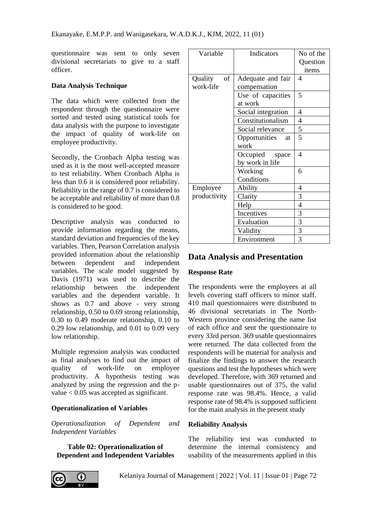questionnaire was sent to only seven divisional secretariats to give to a staff officer.

#### **Data Analysis Technique**

The data which were collected from the respondent through the questionnaire were sorted and tested using statistical tools for data analysis with the purpose to investigate the impact of quality of work-life on employee productivity.

Secondly, the Cronbach Alpha testing was used as it is the most well-accepted measure to test reliability. When Cronbach Alpha is less than 0.6 it is considered poor reliability. Reliability in the range of 0.7 is considered to be acceptable and reliability of more than 0.8 is considered to be good.

Descriptive analysis was conducted to provide information regarding the means, standard deviation and frequencies of the key variables. Then, Pearson Correlation analysis provided information about the relationship between dependent and independent variables. The scale model suggested by Davis (1971) was used to describe the relationship between the independent variables and the dependent variable. It shows as 0.7 and above - very strong relationship, 0.50 to 0.69 strong relationship, 0.30 to 0.49 moderate relationship, 0.10 to 0.29 low relationship, and 0.01 to 0.09 very low relationship.

Multiple regression analysis was conducted as final analyses to find out the impact of quality of work-life on employee productivity. A hypothesis testing was analyzed by using the regression and the pvalue < 0.05 was accepted as significant.

## **Operationalization of Variables**

*Operationalization of Dependent and Independent Variables*

**Table 02: Operationalization of Dependent and Independent Variables**

| Variable      | Indicators          | No of the |
|---------------|---------------------|-----------|
|               |                     | Question  |
|               |                     | items     |
| Quality<br>of | Adequate and fair   | 4         |
| work-life     | compensation        |           |
|               | Use of capacities   | 5         |
|               | at work             |           |
|               | Social integration  | 4         |
|               | Constitutionalism   | 4         |
|               | Social relevance    | 5         |
|               | Opportunities<br>at | 5         |
|               | work                |           |
|               | Occupied<br>space   | 4         |
|               | by work in life     |           |
|               | Working             | 6         |
|               | Conditions          |           |
| Employee      | Ability             | 4         |
| productivity  | Clarity             | 3         |
|               | Help                | 4         |
|               | Incentives          | 3         |
|               | Evaluation          | 3         |
|               | Validity            | 3         |
|               | Environment         | 3         |

# **Data Analysis and Presentation**

#### **Response Rate**

The respondents were the employees at all levels covering staff officers to minor staff. 410 mail questionnaires were distributed to 46 divisional secretariats in The North-Western province considering the name list of each office and sent the questionnaire to every 33rd person. 369 usable questionnaires were returned. The data collected from the respondents will be material for analysis and finalize the findings to answer the research questions and test the hypotheses which were developed. Therefore, with 369 returned and usable questionnaires out of 375, the valid response rate was 98.4%. Hence, a valid response rate of 98.4% is supposed sufficient for the main analysis in the present study

#### **Reliability Analysis**

The reliability test was conducted to determine the internal consistency and usability of the measurements applied in this

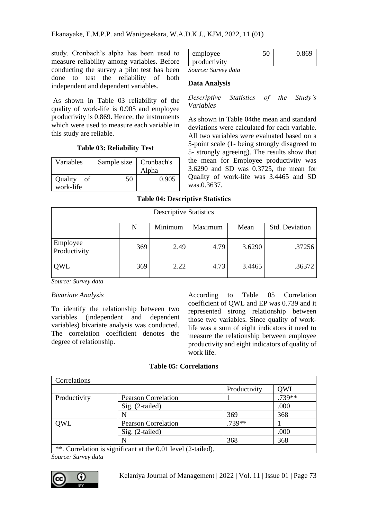study. Cronbach's alpha has been used to measure reliability among variables. Before conducting the survey a pilot test has been done to test the reliability of both independent and dependent variables.

As shown in Table 03 reliability of the quality of work-life is 0.905 and employee productivity is 0.869. Hence, the instruments which were used to measure each variable in this study are reliable.

#### **Table 03: Reliability Test**

| Variables     | Sample size | Cronbach's |  |
|---------------|-------------|------------|--|
|               |             | Alpha      |  |
| Quality<br>οf | 50          | 0.905      |  |
| work-life     |             |            |  |

| employee     |  |
|--------------|--|
| productivity |  |
| $-$          |  |

*Source: Survey data*

#### **Data Analysis**

*Descriptive Statistics of the Study's Variables*

As shown in Table 04the mean and standard deviations were calculated for each variable. All two variables were evaluated based on a 5-point scale (1- being strongly disagreed to 5- strongly agreeing). The results show that the mean for Employee productivity was 3.6290 and SD was 0.3725, the mean for Quality of work-life was 3.4465 and SD was.0.3637.

#### **Table 04: Descriptive Statistics**

| <b>Descriptive Statistics</b>                     |     |      |      |        |        |  |  |
|---------------------------------------------------|-----|------|------|--------|--------|--|--|
| Std. Deviation<br>Minimum<br>Maximum<br>Mean<br>N |     |      |      |        |        |  |  |
| Employee<br>Productivity                          | 369 | 2.49 | 4.79 | 3.6290 | .37256 |  |  |
| OWL                                               | 369 | 2.22 | 4.73 | 3.4465 | .36372 |  |  |

*Source: Survey data*

#### *Bivariate Analysis*

To identify the relationship between two variables (independent and dependent variables) bivariate analysis was conducted. The correlation coefficient denotes the degree of relationship.

According to Table 05 Correlation coefficient of QWL and EP was 0.739 and it represented strong relationship between those two variables. Since quality of worklife was a sum of eight indicators it need to measure the relationship between employee productivity and eight indicators of quality of work life.

#### **Table 05: Correlations**

| Correlations |                                                              |              |        |
|--------------|--------------------------------------------------------------|--------------|--------|
|              |                                                              | Productivity | QWL    |
| Productivity | <b>Pearson Correlation</b>                                   |              | .739** |
|              | $Sig. (2-tailed)$                                            |              | .000   |
|              |                                                              | 369          | 368    |
| <b>OWL</b>   | <b>Pearson Correlation</b>                                   | $.739**$     |        |
|              | $Sig. (2-tailed)$                                            |              | .000   |
|              |                                                              | 368          | 368    |
|              | **. Correlation is significant at the 0.01 level (2-tailed). |              |        |

*Source: Survey data*

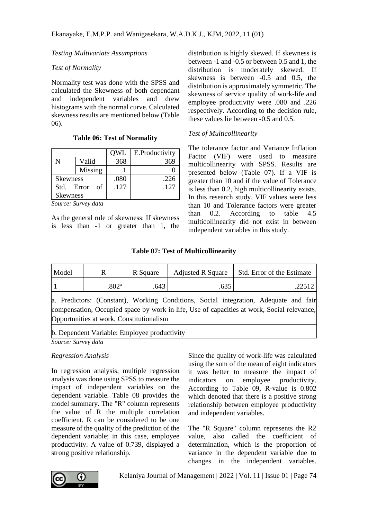### *Testing Multivariate Assumptions*

### *Test of Normality*

Normality test was done with the SPSS and calculated the Skewness of both dependant and independent variables and drew histograms with the normal curve. Calculated skewness results are mentioned below (Table 06).

#### **Table 06: Test of Normality**

|                 |         | )WL  | E.Productivity |
|-----------------|---------|------|----------------|
|                 | Valid   | 368  | '65            |
|                 | Missing |      |                |
| <b>Skewness</b> |         | .080 | .226           |
| Std. Error      | of      | .127 | .127           |
| <b>Skewness</b> |         |      |                |

*Source: Survey data*

As the general rule of skewness: If skewness is less than -1 or greater than 1, the distribution is highly skewed. If skewness is between -1 and -0.5 or between 0.5 and 1, the distribution is moderately skewed. If skewness is between -0.5 and 0.5, the distribution is approximately symmetric. The skewness of service quality of work-life and employee productivity were .080 and .226 respectively. According to the decision rule, these values lie between -0.5 and 0.5.

## *Test of Multicollinearity*

The tolerance factor and Variance Inflation Factor (VIF) were used to measure multicollinearity with SPSS. Results are presented below (Table 07). If a VIF is greater than 10 and if the value of Tolerance is less than 0.2, high multicollinearity exists. In this research study, VIF values were less than 10 and Tolerance factors were greater than 0.2. According to table 4.5 multicollinearity did not exist in between independent variables in this study.

#### **Table 07: Test of Multicollinearity**

| Model                                                                                                                                                                                                                          | R                 | R Square | <b>Adjusted R Square</b> | Std. Error of the Estimate |  |
|--------------------------------------------------------------------------------------------------------------------------------------------------------------------------------------------------------------------------------|-------------------|----------|--------------------------|----------------------------|--|
|                                                                                                                                                                                                                                | .802 <sup>a</sup> | .643     | .635                     | .22512                     |  |
| a. Predictors: (Constant), Working Conditions, Social integration, Adequate and fair<br>compensation, Occupied space by work in life, Use of capacities at work, Social relevance,<br>Opportunities at work, Constitutionalism |                   |          |                          |                            |  |
| b. Dependent Variable: Employee productivity                                                                                                                                                                                   |                   |          |                          |                            |  |

*Source: Survey data*

#### *Regression Analysis*

In regression analysis, multiple regression analysis was done using SPSS to measure the impact of independent variables on the dependent variable. Table 08 provides the model summary. The "R" column represents the value of R the multiple correlation coefficient. R can be considered to be one measure of the quality of the prediction of the dependent variable; in this case, employee productivity. A value of 0.739, displayed a strong positive relationship.

Since the quality of work-life was calculated using the sum of the mean of eight indicators it was better to measure the impact of indicators on employee productivity. According to Table 09, R-value is 0.802 which denoted that there is a positive strong relationship between employee productivity and independent variables.

The "R Square" column represents the R2 value, also called the coefficient of determination, which is the proportion of variance in the dependent variable due to changes in the independent variables.

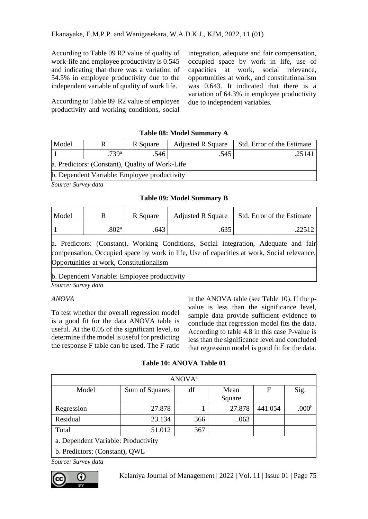According to Table 09 R2 value of quality of work-life and employee productivity is 0.545 and indicating that there was a variation of 54.5% in employee productivity due to the independent variable of quality of work life.

According to Table 09 R2 value of employee productivity and working conditions, social

integration, adequate and fair compensation, occupied space by work in life, use of capacities at work, social relevance, opportunities at work, and constitutionalism was 0.643. It indicated that there is a variation of 64.3% in employee productivity due to independent variables.

### **Table 08: Model Summary A**

| Model                                               |  | <b>Adjusted R Square</b><br>R Square |  | Std. Error of the Estimate |  |  |
|-----------------------------------------------------|--|--------------------------------------|--|----------------------------|--|--|
| 739 <sup>a</sup><br>.546<br>.25141<br>.545          |  |                                      |  |                            |  |  |
| a. Predictors: (Constant), Quality of Work-Life     |  |                                      |  |                            |  |  |
| <b>b.</b> Dependent Variable: Employee productivity |  |                                      |  |                            |  |  |

*Source: Survey data*

#### **Table 09: Model Summary B**

| Model |                   | R Square | <b>Adjusted R Square</b> | Std. Error of the Estimate |
|-------|-------------------|----------|--------------------------|----------------------------|
|       | .802 <sup>a</sup> | .643     |                          | .22512                     |

a. Predictors: (Constant), Working Conditions, Social integration, Adequate and fair compensation, Occupied space by work in life, Use of capacities at work, Social relevance, Opportunities at work, Constitutionalism

#### b. Dependent Variable: Employee productivity

*Source: Survey data*

#### *ANOVA*

To test whether the overall regression model is a good fit for the data ANOVA table is useful. At the 0.05 of the significant level, to determine if the model is useful for predicting the response F table can be used. The F-ratio in the ANOVA table (see Table 10). If the pvalue is less than the significance level, sample data provide sufficient evidence to conclude that regression model fits the data. According to table 4.8 in this case P-value is less than the significance level and concluded that regression model is good fit for the data.

|  | Table 10: ANOVA Table 01 |  |
|--|--------------------------|--|
|--|--------------------------|--|

| <b>ANOVA</b> <sup>a</sup>           |                |     |                |         |                   |
|-------------------------------------|----------------|-----|----------------|---------|-------------------|
| Model                               | Sum of Squares | df  | Mean<br>Square | F       | Sig.              |
| Regression                          | 27.878         |     | 27.878         | 441.054 | .000 <sup>b</sup> |
| Residual                            | 23.134         | 366 | .063           |         |                   |
| Total                               | 51.012         | 367 |                |         |                   |
| a. Dependent Variable: Productivity |                |     |                |         |                   |
| b. Predictors: (Constant), QWL      |                |     |                |         |                   |

*Source: Survey data*

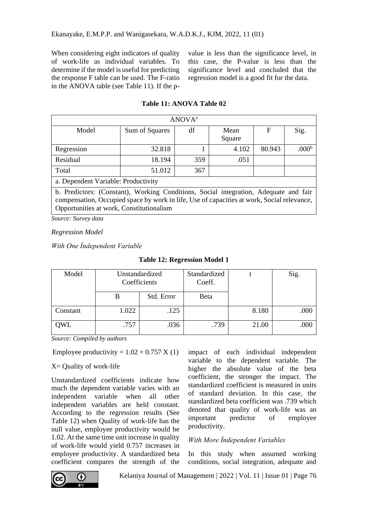When considering eight indicators of quality of work-life as individual variables. To determine if the model is useful for predicting the response F table can be used. The F-ratio in the ANOVA table (see Table 11). If the p-

value is less than the significance level, in this case, the P-value is less than the significance level and concluded that the regression model is a good fit for the data.

| ANOVA <sup>a</sup>                                                                   |                |     |                |        |                   |
|--------------------------------------------------------------------------------------|----------------|-----|----------------|--------|-------------------|
| Model                                                                                | Sum of Squares | df  | Mean<br>Square | F      | Sig.              |
| Regression                                                                           | 32.818         |     | 4.102          | 80.943 | .000 <sup>b</sup> |
| Residual                                                                             | 18.194         | 359 | .051           |        |                   |
| Total                                                                                | 51.012         | 367 |                |        |                   |
| a. Dependent Variable: Productivity                                                  |                |     |                |        |                   |
| h. Predictors: (Constant). Working Conditions. Social integration. Adequate and fair |                |     |                |        |                   |

#### **Table 11: ANOVA Table 02**

b. Predictors: (Constant), Working Conditions, Social integration, Adequate and fair compensation, Occupied space by work in life, Use of capacities at work, Social relevance, Opportunities at work, Constitutionalism

*Source: Survey data*

*Regression Model*

*With One İndependent Variable*

| Model    | Unstandardized<br>Coefficients |            | Standardized<br>Coeff. |       | Sig. |
|----------|--------------------------------|------------|------------------------|-------|------|
|          | В                              | Std. Error | Beta                   |       |      |
| Constant | 1.022                          | .125       |                        | 8.180 | .000 |
| )WL      | .757                           | .036       | .739                   | 21.00 | .000 |

**Table 12: Regression Model 1**

*Source: Compiled by authors*

Employee productivity =  $1.02 + 0.757$  X (1)

 $X =$  Quality of work-life

Unstandardized coefficients indicate how much the dependent variable varies with an independent variable when all other independent variables are held constant. According to the regression results (See Table 12) when Quality of work-life has the null value, employee productivity would be 1.02. At the same time unit increase in quality of work-life would yield 0.757 increases in employee productivity. A standardized beta coefficient compares the strength of the

impact of each individual independent variable to the dependent variable. The higher the absolute value of the beta coefficient, the stronger the impact. The standardized coefficient is measured in units of standard deviation. In this case, the standardized beta coefficient was .739 which denoted that quality of work-life was an important predictor of employee productivity.

#### *With More İndependent Variables*

In this study when assumed working conditions, social integration, adequate and

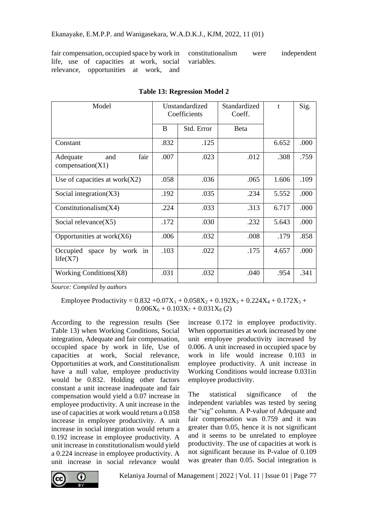fair compensation, occupied space by work in life, use of capacities at work, social relevance, opportunities at work, and

constitutionalism were independent variables.

| Model                                       | Unstandardized<br>Coefficients |            | Standardized<br>Coeff. | $\mathbf{f}$ | Sig. |
|---------------------------------------------|--------------------------------|------------|------------------------|--------------|------|
|                                             | B                              | Std. Error | <b>Beta</b>            |              |      |
| Constant                                    | .832                           | .125       |                        | 6.652        | .000 |
| fair<br>and<br>Adequate<br>compensation(X1) | .007                           | .023       | .012                   | .308         | .759 |
| Use of capacities at work $(X2)$            | .058                           | .036       | .065                   | 1.606        | .109 |
| Social integration $(X3)$                   | .192                           | .035       | .234                   | 5.552        | .000 |
| Constitutionalism(X4)                       | .224                           | .033       | .313                   | 6.717        | .000 |
| Social relevance $(X5)$                     | .172                           | .030       | .232                   | 5.643        | .000 |
| Opportunities at work $(X6)$                | .006                           | .032       | .008                   | .179         | .858 |
| space by work in<br>Occupied<br>life(X7)    | .103                           | .022       | .175                   | 4.657        | .000 |
| Working Conditions $(X8)$                   | .031                           | .032       | .040                   | .954         | .341 |

**Table 13: Regression Model 2**

*Source: Compiled by authors*

Employee Productivity =  $0.832 + 0.07X_1 + 0.058X_2 + 0.192X_3 + 0.224X_4 + 0.172X_5 +$  $0.006X_6 + 0.103X_7 + 0.031X_8$  (2)

According to the regression results (See Table 13) when Working Conditions, Social integration, Adequate and fair compensation, occupied space by work in life, Use of capacities at work, Social relevance, Opportunities at work, and Constitutionalism have a null value, employee productivity would be 0.832. Holding other factors constant a unit increase inadequate and fair compensation would yield a 0.07 increase in employee productivity. A unit increase in the use of capacities at work would return a 0.058 increase in employee productivity. A unit increase in social integration would return a 0.192 increase in employee productivity. A unit increase in constitutionalism would yield a 0.224 increase in employee productivity. A unit increase in social relevance would

increase 0.172 in employee productivity. When opportunities at work increased by one unit employee productivity increased by 0.006. A unit increased in occupied space by work in life would increase 0.103 in employee productivity. A unit increase in Working Conditions would increase 0.031in employee productivity.

The statistical significance of the independent variables was tested by seeing the "sig" column. A P-value of Adequate and fair compensation was 0.759 and it was greater than 0.05, hence it is not significant and it seems to be unrelated to employee productivity. The use of capacities at work is not significant because its P-value of 0.109 was greater than 0.05. Social integration is

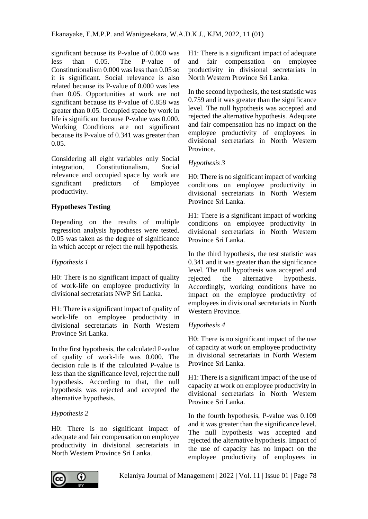significant because its P-value of 0.000 was less than 0.05. The P-value of Constitutionalism 0.000 was less than 0.05 so it is significant. Social relevance is also related because its P-value of 0.000 was less than 0.05. Opportunities at work are not significant because its P-value of 0.858 was greater than 0.05. Occupied space by work in life is significant because P-value was 0.000. Working Conditions are not significant because its P-value of 0.341 was greater than 0.05.

Considering all eight variables only Social integration, Constitutionalism, Social relevance and occupied space by work are significant predictors of Employee productivity.

## **Hypotheses Testing**

Depending on the results of multiple regression analysis hypotheses were tested. 0.05 was taken as the degree of significance in which accept or reject the null hypothesis.

### *Hypothesis 1*

H0: There is no significant impact of quality of work-life on employee productivity in divisional secretariats NWP Sri Lanka.

H1: There is a significant impact of quality of work-life on employee productivity in divisional secretariats in North Western Province Sri Lanka.

In the first hypothesis, the calculated P-value of quality of work-life was 0.000. The decision rule is if the calculated P-value is less than the significance level, reject the null hypothesis. According to that, the null hypothesis was rejected and accepted the alternative hypothesis.

## *Hypothesis 2*

H0: There is no significant impact of adequate and fair compensation on employee productivity in divisional secretariats in North Western Province Sri Lanka.

H1: There is a significant impact of adequate and fair compensation on employee productivity in divisional secretariats in North Western Province Sri Lanka.

In the second hypothesis, the test statistic was 0.759 and it was greater than the significance level. The null hypothesis was accepted and rejected the alternative hypothesis. Adequate and fair compensation has no impact on the employee productivity of employees in divisional secretariats in North Western Province.

## *Hypothesis 3*

H0: There is no significant impact of working conditions on employee productivity in divisional secretariats in North Western Province Sri Lanka.

H1: There is a significant impact of working conditions on employee productivity in divisional secretariats in North Western Province Sri Lanka.

In the third hypothesis, the test statistic was 0.341 and it was greater than the significance level. The null hypothesis was accepted and rejected the alternative hypothesis. Accordingly, working conditions have no impact on the employee productivity of employees in divisional secretariats in North Western Province.

## *Hypothesis 4*

H0: There is no significant impact of the use of capacity at work on employee productivity in divisional secretariats in North Western Province Sri Lanka.

H1: There is a significant impact of the use of capacity at work on employee productivity in divisional secretariats in North Western Province Sri Lanka.

In the fourth hypothesis, P-value was 0.109 and it was greater than the significance level. The null hypothesis was accepted and rejected the alternative hypothesis. Impact of the use of capacity has no impact on the employee productivity of employees in

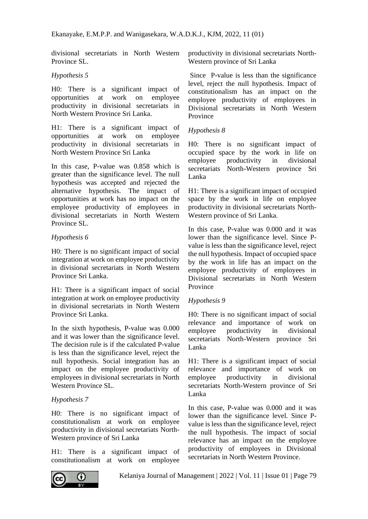divisional secretariats in North Western Province SL.

#### *Hypothesis 5*

H0: There is a significant impact of opportunities at work on employee productivity in divisional secretariats in North Western Province Sri Lanka.

H1: There is a significant impact of opportunities at work on employee productivity in divisional secretariats in North Western Province Sri Lanka

In this case, P-value was 0.858 which is greater than the significance level. The null hypothesis was accepted and rejected the alternative hypothesis. The impact of opportunities at work has no impact on the employee productivity of employees in divisional secretariats in North Western Province SL.

#### *Hypothesis 6*

H0: There is no significant impact of social integration at work on employee productivity in divisional secretariats in North Western Province Sri Lanka.

H1: There is a significant impact of social integration at work on employee productivity in divisional secretariats in North Western Province Sri Lanka.

In the sixth hypothesis, P-value was 0.000 and it was lower than the significance level. The decision rule is if the calculated P-value is less than the significance level, reject the null hypothesis. Social integration has an impact on the employee productivity of employees in divisional secretariats in North Western Province SL.

#### *Hypothesis 7*

H0: There is no significant impact of constitutionalism at work on employee productivity in divisional secretariats North-Western province of Sri Lanka

H1: There is a significant impact of constitutionalism at work on employee productivity in divisional secretariats North-Western province of Sri Lanka

Since P-value is less than the significance level, reject the null hypothesis. Impact of constitutionalism has an impact on the employee productivity of employees in Divisional secretariats in North Western Province

#### *Hypothesis 8*

H0: There is no significant impact of occupied space by the work in life on employee productivity in divisional secretariats North-Western province Sri Lanka

H1: There is a significant impact of occupied space by the work in life on employee productivity in divisional secretariats North-Western province of Sri Lanka.

In this case, P-value was 0.000 and it was lower than the significance level. Since Pvalue is less than the significance level, reject the null hypothesis. Impact of occupied space by the work in life has an impact on the employee productivity of employees in Divisional secretariats in North Western Province

#### *Hypothesis 9*

H0: There is no significant impact of social relevance and importance of work on employee productivity in divisional secretariats North-Western province Sri Lanka

H1: There is a significant impact of social relevance and importance of work on employee productivity in divisional secretariats North-Western province of Sri Lanka

In this case, P-value was 0.000 and it was lower than the significance level. Since Pvalue is less than the significance level, reject the null hypothesis. The impact of social relevance has an impact on the employee productivity of employees in Divisional secretariats in North Western Province.

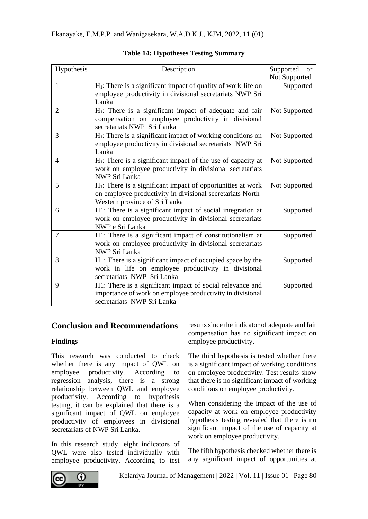| Hypothesis | Description                                                                                                                                                   | Supported<br><b>or</b><br>Not Supported |
|------------|---------------------------------------------------------------------------------------------------------------------------------------------------------------|-----------------------------------------|
| 1          | $H_1$ : There is a significant impact of quality of work-life on<br>employee productivity in divisional secretariats NWP Sri<br>Lanka                         | Supported                               |
| 2          | $H_1$ : There is a significant impact of adequate and fair<br>compensation on employee productivity in divisional<br>secretariats NWP Sri Lanka               | Not Supported                           |
| 3          | $H_1$ : There is a significant impact of working conditions on<br>employee productivity in divisional secretariats NWP Sri<br>Lanka                           | Not Supported                           |
| 4          | $H_1$ : There is a significant impact of the use of capacity at<br>work on employee productivity in divisional secretariats<br>NWP Sri Lanka                  | Not Supported                           |
| 5          | $H_1$ : There is a significant impact of opportunities at work<br>on employee productivity in divisional secretariats North-<br>Western province of Sri Lanka | Not Supported                           |
| 6          | H1: There is a significant impact of social integration at<br>work on employee productivity in divisional secretariats<br>NWP e Sri Lanka                     | Supported                               |
| 7          | H1: There is a significant impact of constitutionalism at<br>work on employee productivity in divisional secretariats<br><b>NWP Sri Lanka</b>                 | Supported                               |
| 8          | H1: There is a significant impact of occupied space by the<br>work in life on employee productivity in divisional<br>secretariats NWP Sri Lanka               | Supported                               |
| 9          | H1: There is a significant impact of social relevance and<br>importance of work on employee productivity in divisional<br>secretariats NWP Sri Lanka          | Supported                               |

## **Table 14: Hypotheses Testing Summary**

## **Conclusion and Recommendations**

## **Findings**

This research was conducted to check whether there is any impact of QWL on employee productivity. According to regression analysis, there is a strong relationship between QWL and employee productivity. According to hypothesis testing, it can be explained that there is a significant impact of QWL on employee productivity of employees in divisional secretariats of NWP Sri Lanka.

In this research study, eight indicators of QWL were also tested individually with employee productivity. According to test results since the indicator of adequate and fair compensation has no significant impact on employee productivity.

The third hypothesis is tested whether there is a significant impact of working conditions on employee productivity. Test results show that there is no significant impact of working conditions on employee productivity.

When considering the impact of the use of capacity at work on employee productivity hypothesis testing revealed that there is no significant impact of the use of capacity at work on employee productivity.

The fifth hypothesis checked whether there is any significant impact of opportunities at

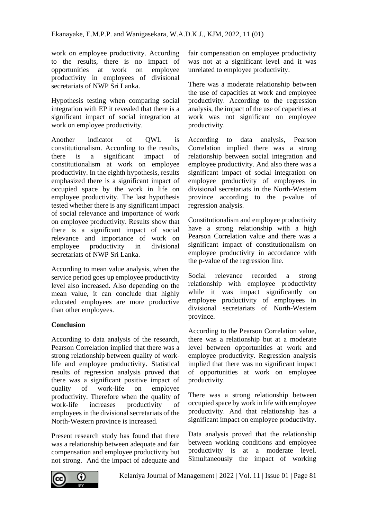work on employee productivity. According to the results, there is no impact of opportunities at work on employee productivity in employees of divisional secretariats of NWP Sri Lanka.

Hypothesis testing when comparing social integration with EP it revealed that there is a significant impact of social integration at work on employee productivity.

Another indicator of QWL is constitutionalism. According to the results, there is a significant impact of constitutionalism at work on employee productivity. In the eighth hypothesis, results emphasized there is a significant impact of occupied space by the work in life on employee productivity. The last hypothesis tested whether there is any significant impact of social relevance and importance of work on employee productivity. Results show that there is a significant impact of social relevance and importance of work on employee productivity in divisional secretariats of NWP Sri Lanka.

According to mean value analysis, when the service period goes up employee productivity level also increased. Also depending on the mean value, it can conclude that highly educated employees are more productive than other employees.

## **Conclusion**

According to data analysis of the research, Pearson Correlation implied that there was a strong relationship between quality of worklife and employee productivity. Statistical results of regression analysis proved that there was a significant positive impact of quality of work-life on employee productivity. Therefore when the quality of work-life increases productivity of employees in the divisional secretariats of the North-Western province is increased.

Present research study has found that there was a relationship between adequate and fair compensation and employee productivity but not strong. And the impact of adequate and

fair compensation on employee productivity was not at a significant level and it was unrelated to employee productivity.

There was a moderate relationship between the use of capacities at work and employee productivity. According to the regression analysis, the impact of the use of capacities at work was not significant on employee productivity.

According to data analysis, Pearson Correlation implied there was a strong relationship between social integration and employee productivity. And also there was a significant impact of social integration on employee productivity of employees in divisional secretariats in the North-Western province according to the p-value of regression analysis.

Constitutionalism and employee productivity have a strong relationship with a high Pearson Correlation value and there was a significant impact of constitutionalism on employee productivity in accordance with the p-value of the regression line.

Social relevance recorded a strong relationship with employee productivity while it was impact significantly on employee productivity of employees in divisional secretariats of North-Western province.

According to the Pearson Correlation value, there was a relationship but at a moderate level between opportunities at work and employee productivity. Regression analysis implied that there was no significant impact of opportunities at work on employee productivity.

There was a strong relationship between occupied space by work in life with employee productivity. And that relationship has a significant impact on employee productivity.

Data analysis proved that the relationship between working conditions and employee productivity is at a moderate level. Simultaneously the impact of working

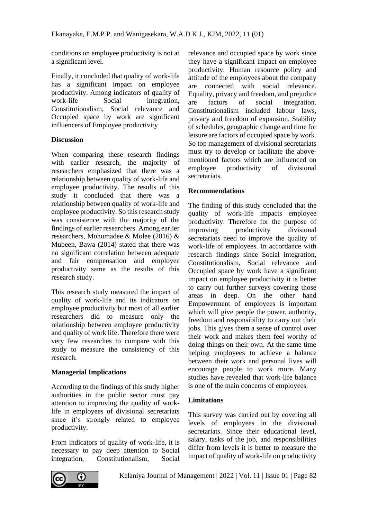conditions on employee productivity is not at a significant level.

Finally, it concluded that quality of work-life has a significant impact on employee productivity. Among indicators of quality of work-life Social integration. Constitutionalism, Social relevance and Occupied space by work are significant influencers of Employee productivity

#### **Discussion**

When comparing these research findings with earlier research, the majority of researchers emphasized that there was a relationship between quality of work-life and employee productivity. The results of this study it concluded that there was a relationship between quality of work-life and employee productivity. So this research study was consistence with the majority of the findings of earlier researchers. Among earlier researchers, Mohomadee & Molee (2016) & Mubeen, Bawa (2014) stated that there was no significant correlation between adequate and fair compensation and employee productivity same as the results of this research study.

This research study measured the impact of quality of work-life and its indicators on employee productivity but most of all earlier researchers did to measure only the relationship between employee productivity and quality of work life. Therefore there were very few researches to compare with this study to measure the consistency of this research.

## **Managerial Implications**

According to the findings of this study higher authorities in the public sector must pay attention to improving the quality of worklife in employees of divisional secretariats since it's strongly related to employee productivity.

From indicators of quality of work-life, it is necessary to pay deep attention to Social integration, Constitutionalism, Social

relevance and occupied space by work since they have a significant impact on employee productivity. Human resource policy and attitude of the employees about the company are connected with social relevance. Equality, privacy and freedom, and prejudice are factors of social integration. Constitutionalism included labour laws, privacy and freedom of expansion. Stability of schedules, geographic change and time for leisure are factors of occupied space by work. So top management of divisional secretariats must try to develop or facilitate the abovementioned factors which are influenced on employee productivity of divisional secretariats.

## **Recommendations**

The finding of this study concluded that the quality of work-life impacts employee productivity. Therefore for the purpose of improving productivity divisional secretariats need to improve the quality of work-life of employees. In accordance with research findings since Social integration, Constitutionalism, Social relevance and Occupied space by work have a significant impact on employee productivity it is better to carry out further surveys covering those areas in deep. On the other hand Empowerment of employees is important which will give people the power, authority, freedom and responsibility to carry out their jobs. This gives them a sense of control over their work and makes them feel worthy of doing things on their own. At the same time helping employees to achieve a balance between their work and personal lives will encourage people to work more. Many studies have revealed that work-life balance is one of the main concerns of employees.

## **Limitations**

This survey was carried out by covering all levels of employees in the divisional secretariats. Since their educational level, salary, tasks of the job, and responsibilities differ from levels it is better to measure the impact of quality of work-life on productivity

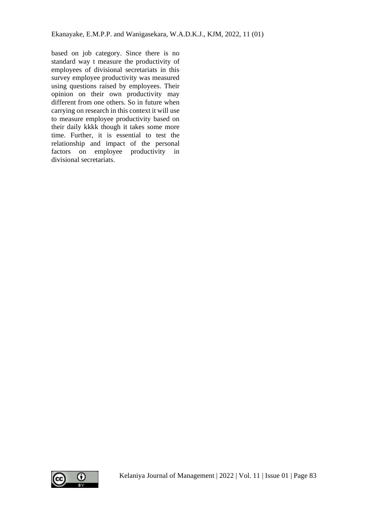based on job category. Since there is no standard way t measure the productivity of employees of divisional secretariats in this survey employee productivity was measured using questions raised by employees. Their opinion on their own productivity may different from one others. So in future when carrying on research in this context it will use to measure employee productivity based on their daily kkkk though it takes some more time. Further, it is essential to test the relationship and impact of the personal factors on employee productivity in divisional secretariats.

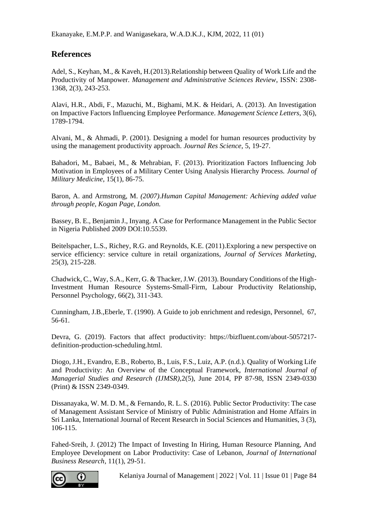# **References**

Adel, S., Keyhan, M., & Kaveh, H.(2013).Relationship between Quality of Work Life and the Productivity of Manpower. *Management and Administrative Sciences Review*, ISSN: 2308- 1368, 2(3), 243-253.

Alavi, H.R., Abdi, F., Mazuchi, M., Bighami, M.K. & Heidari, A. (2013). An Investigation on Impactive Factors Influencing Employee Performance. *Management Science Letters*, 3(6), 1789-1794.

Alvani, M., & Ahmadi, P. (2001). Designing a model for human resources productivity by using the management productivity approach. *Journal Res Science*, 5, 19-27.

Bahadori, M., Babaei, M., & Mehrabian, F. (2013). Prioritization Factors Influencing Job Motivation in Employees of a Military Center Using Analysis Hierarchy Process. *Journal of Military Medicine*, 15(1), 86-75.

Baron, A. and Armstrong, M*. (2007).Human Capital Management: Achieving added value through people, Kogan Page, London.*

Bassey, B. E., Benjamin J., Inyang. A Case for Performance Management in the Public Sector in Nigeria Published 2009 DOI:10.5539.

Beitelspacher, L.S., Richey, R.G. and Reynolds, K.E. (2011).Exploring a new perspective on service efficiency: service culture in retail organizations, *Journal of Services Marketing*, 25(3), 215-228.

Chadwick, C., Way, S.A., Kerr, G. & Thacker, J.W. (2013). Boundary Conditions of the High-Investment Human Resource Systems-Small-Firm, Labour Productivity Relationship, Personnel Psychology, 66(2), 311-343.

Cunningham, J.B.,Eberle, T. (1990). A Guide to job enrichment and redesign, Personnel, 67, 56-61.

Devra, G. (2019). Factors that affect productivity: https://bizfluent.com/about-5057217 definition-production-scheduling.html.

Diogo, J.H., Evandro, E.B., Roberto, B., Luis, F.S., Luiz, A.P. (n.d.). Quality of Working Life and Productivity: An Overview of the Conceptual Framework, *International Journal of Managerial Studies and Research (IJMSR),*2(5), June 2014, PP 87-98, ISSN 2349-0330 (Print) & ISSN 2349-0349.

Dissanayaka, W. M. D. M., & Fernando, R. L. S. (2016). Public Sector Productivity: The case of Management Assistant Service of Ministry of Public Administration and Home Affairs in Sri Lanka, International Journal of Recent Research in Social Sciences and Humanities, 3 (3), 106-115.

Fahed-Sreih, J. (2012) The Impact of Investing In Hiring, Human Resource Planning, And Employee Development on Labor Productivity: Case of Lebanon, *Journal of International Business Research*, 11(1), 29-51.

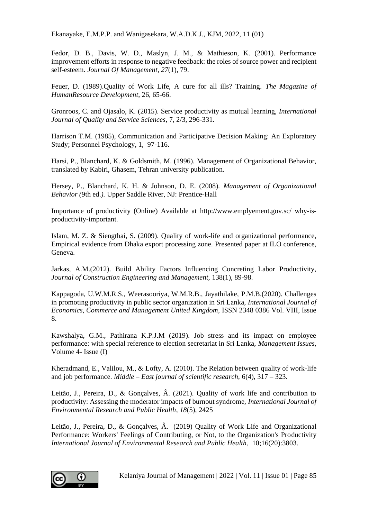Fedor, D. B., Davis, W. D., Maslyn, J. M., & Mathieson, K. (2001). Performance improvement efforts in response to negative feedback: the roles of source power and recipient self-esteem. *Journal Of Management*, *27*(1), 79.

Feuer, D. (1989).Quality of Work Life, A cure for all ills? Training. *The Magazine of HumanResource Development*, 26, 65-66.

Gronroos, C. and Ojasalo, K. (2015). Service productivity as mutual learning, *International Journal of Quality and Service Sciences*, 7, 2/3, 296-331.

Harrison T.M. (1985), Communication and Participative Decision Making: An Exploratory Study; Personnel Psychology, 1, 97-116.

Harsi, P., Blanchard, K. & Goldsmith, M. (1996). Management of Organizational Behavior, translated by Kabiri, Ghasem, Tehran university publication.

Hersey, P., Blanchard, K. H. & Johnson, D. E. (2008). *Management of Organizational Behavior (*9th ed.*).* Upper Saddle River, NJ: Prentice-Hall

Importance of productivity (Online) Available at<http://www.emplyement.gov.sc/> why-isproductivity-important.

Islam, M. Z. & Siengthai, S. (2009). Quality of work-life and organizational performance, Empirical evidence from Dhaka export processing zone*.* Presented paper at ILO conference, Geneva.

Jarkas, A.M.(2012). Build Ability Factors Influencing Concreting Labor Productivity, *Journal of Construction Engineering and Management,* 138(1), 89-98.

Kappagoda, U.W.M.R.S., Weerasooriya, W.M.R.B., Jayathilake, P.M.B.(2020). Challenges in promoting productivity in public sector organization in Sri Lanka, *International Journal of Economics, Commerce and Management United Kingdom,* ISSN 2348 0386 Vol. VIII, Issue 8.

Kawshalya, G.M., Pathirana K.P.J.M (2019). Job stress and its impact on employee performance: with special reference to election secretariat in Sri Lanka, *Management Issues*, Volume 4- Issue (I)

Kheradmand, E., Valilou, M., & Lofty, A. (2010). The Relation between quality of work-life and job performance. *Middle – East journal of scientific research,* 6(4), 317 – 323.

Leitão, J., Pereira, D., & Gonçalves, Â. (2021). Quality of work life and contribution to productivity: Assessing the moderator impacts of burnout syndrome, *International Journal of Environmental Research and Public Health*, *18*(5), 2425

Leitão, J., Pereira, D., & Gonçalves, Â. (2019) Quality of Work Life and Organizational Performance: Workers' Feelings of Contributing, or Not, to the Organization's Productivity *International Journal of Environmental Research and Public Health*, 10;16(20):3803.

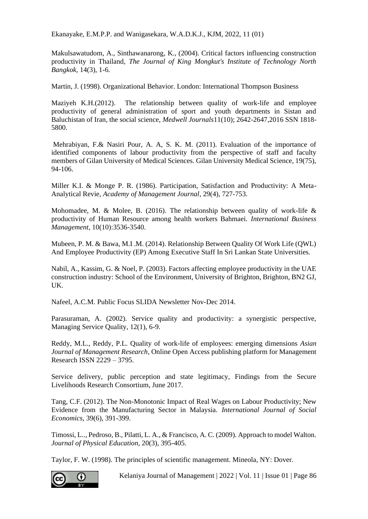Makulsawatudom, A., Sinthawanarong, K., (2004). Critical factors influencing construction productivity in Thailand, *The Journal of King Mongkut's Institute of Technology North Bangkok,* 14(3), 1-6.

Martin, J. (1998). Organizational Behavior. London: International Thompson Business

Maziyeh K.H.(2012). The relationship between quality of work-life and employee productivity of general administration of sport and youth departments in Sistan and Baluchistan of Iran, the social science, *Medwell Journals*11(10); 2642-2647,2016 SSN 1818- 5800.

Mehrabiyan, F.& Nasiri Pour, A. A, S. K. M. (2011). Evaluation of the importance of identified components of labour productivity from the perspective of staff and faculty members of Gilan University of Medical Sciences. Gilan University Medical Science, 19(75), 94-106.

Miller K.I. & Monge P. R. (1986). Participation, Satisfaction and Productivity: A Meta-Analytical Revie, *Academy of Management Journal*, 29(4), 727-753.

Mohomadee, M. & Molee, B. (2016). The relationship between quality of work-life  $\&$ productivity of Human Resource among health workers Bahmaei. *International Business Management*, 10(10):3536-3540.

Mubeen, P. M. & Bawa, M.I .M. (2014). Relationship Between Quality Of Work Life (QWL) And Employee Productivity (EP) Among Executive Staff In Sri Lankan State Universities.

Nabil, A., Kassim, G. & Noel, P. (2003). Factors affecting employee productivity in the UAE construction industry: School of the Environment, University of Brighton, Brighton, BN2 GJ, UK.

Nafeel, A.C.M. Public Focus SLIDA Newsletter Nov-Dec 2014.

Parasuraman, A. (2002). Service quality and productivity: a synergistic perspective, Managing Service Quality, 12(1), 6-9.

Reddy, M.L., Reddy, P.L. Quality of work-life of employees: emerging dimensions *Asian Journal of Management Research*, Online Open Access publishing platform for Management Research ISSN 2229 – 3795.

Service delivery, public perception and state legitimacy, Findings from the Secure Livelihoods Research Consortium, June 2017.

Tang, C.F. (2012). The Non-Monotonic Impact of Real Wages on Labour Productivity; New Evidence from the Manufacturing Sector in Malaysia. *International Journal of Social Economics*, 39(6), 391-399.

Timossi, L.., Pedroso, B., Pilatti, L. A., & Francisco, A. C. (2009). Approach to model Walton. *Journal of Physical Education*, 20(3), 395-405.

Taylor, F. W. (1998). The principles of scientific management. Mineola, NY: Dover.